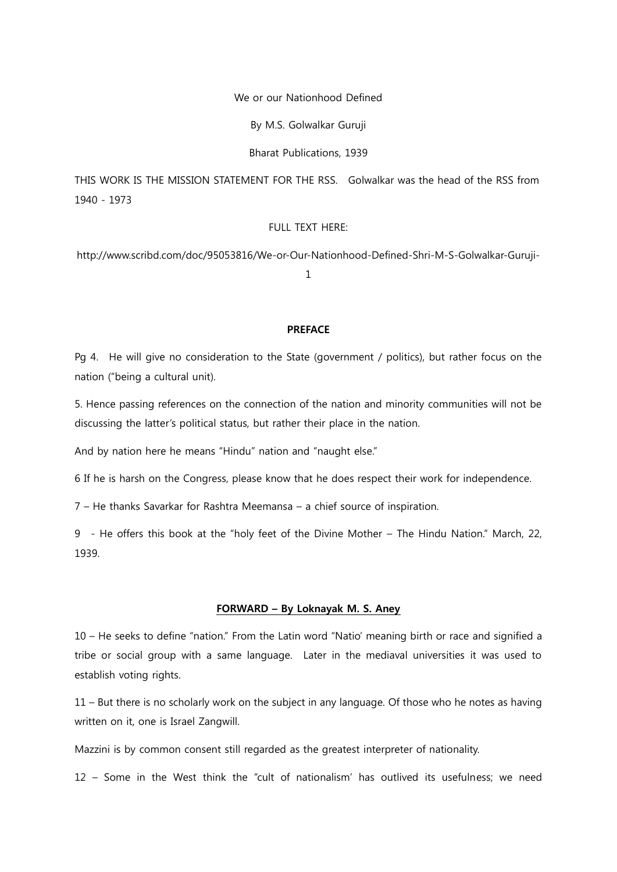## We or our Nationhood Defined

By M.S. Golwalkar Guruji

Bharat Publications, 1939

THIS WORK IS THE MISSION STATEMENT FOR THE RSS. Golwalkar was the head of the RSS from 1940 - 1973

# FULL TEXT HERE:

http://www.scribd.com/doc/95053816/We-or-Our-Nationhood-Defined-Shri-M-S-Golwalkar-Guruji-

1

## **PREFACE**

Pg 4. He will give no consideration to the State (government / politics), but rather focus on the nation ("being a cultural unit).

5. Hence passing references on the connection of the nation and minority communities will not be discussing the latter's political status, but rather their place in the nation.

And by nation here he means "Hindu" nation and "naught else."

6 If he is harsh on the Congress, please know that he does respect their work for independence.

7 – He thanks Savarkar for Rashtra Meemansa – a chief source of inspiration.

9 - He offers this book at the "holy feet of the Divine Mother – The Hindu Nation." March, 22, 1939.

## FORWARD – By Loknayak M. S. Aney

10 – He seeks to define "nation." From the Latin word "Natio' meaning birth or race and signified a tribe or social group with a same language. Later in the mediaval universities it was used to establish voting rights.

11 – But there is no scholarly work on the subject in any language. Of those who he notes as having written on it, one is Israel Zangwill.

Mazzini is by common consent still regarded as the greatest interpreter of nationality.

12 – Some in the West think the "cult of nationalism' has outlived its usefulness; we need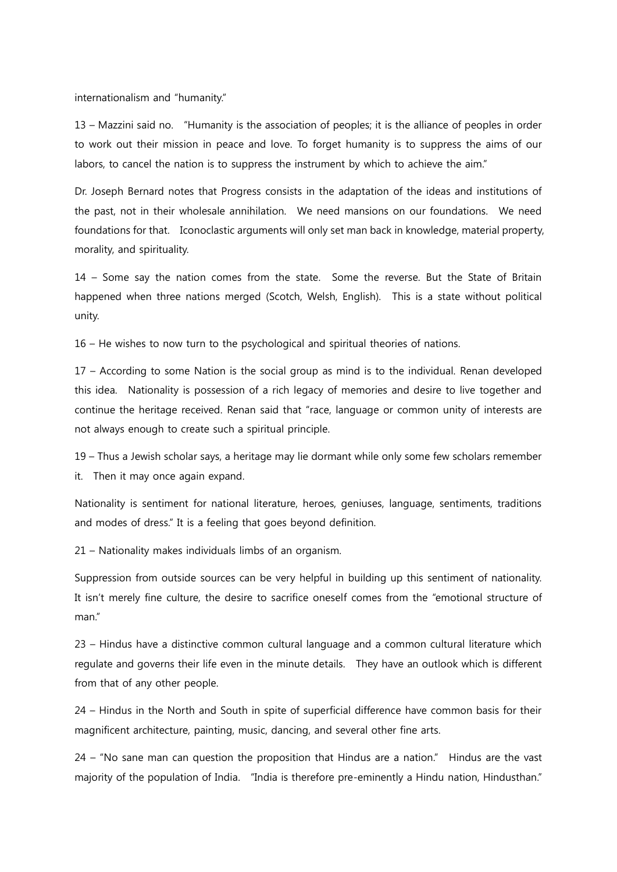internationalism and "humanity."

13 – Mazzini said no. "Humanity is the association of peoples; it is the alliance of peoples in order to work out their mission in peace and love. To forget humanity is to suppress the aims of our labors, to cancel the nation is to suppress the instrument by which to achieve the aim."

Dr. Joseph Bernard notes that Progress consists in the adaptation of the ideas and institutions of the past, not in their wholesale annihilation. We need mansions on our foundations. We need foundations for that. Iconoclastic arguments will only set man back in knowledge, material property, morality, and spirituality.

14 – Some say the nation comes from the state. Some the reverse. But the State of Britain happened when three nations merged (Scotch, Welsh, English). This is a state without political unity.

16 – He wishes to now turn to the psychological and spiritual theories of nations.

17 – According to some Nation is the social group as mind is to the individual. Renan developed this idea. Nationality is possession of a rich legacy of memories and desire to live together and continue the heritage received. Renan said that "race, language or common unity of interests are not always enough to create such a spiritual principle.

19 – Thus a Jewish scholar says, a heritage may lie dormant while only some few scholars remember it. Then it may once again expand.

Nationality is sentiment for national literature, heroes, geniuses, language, sentiments, traditions and modes of dress." It is a feeling that goes beyond definition.

21 – Nationality makes individuals limbs of an organism.

Suppression from outside sources can be very helpful in building up this sentiment of nationality. It isn't merely fine culture, the desire to sacrifice oneself comes from the "emotional structure of man."

23 – Hindus have a distinctive common cultural language and a common cultural literature which regulate and governs their life even in the minute details. They have an outlook which is different from that of any other people.

24 – Hindus in the North and South in spite of superficial difference have common basis for their magnificent architecture, painting, music, dancing, and several other fine arts.

24 – "No sane man can question the proposition that Hindus are a nation." Hindus are the vast majority of the population of India. "India is therefore pre-eminently a Hindu nation, Hindusthan."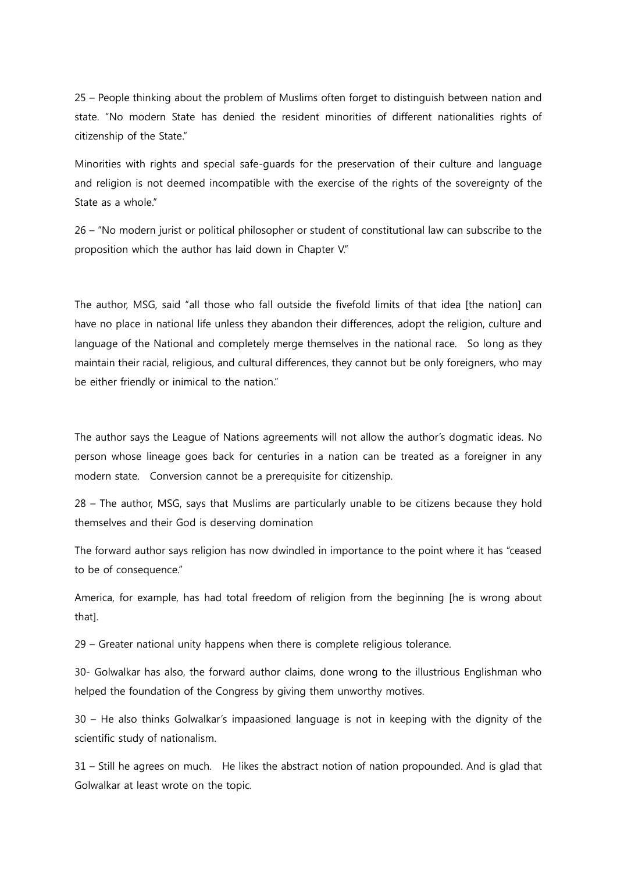25 – People thinking about the problem of Muslims often forget to distinguish between nation and state. "No modern State has denied the resident minorities of different nationalities rights of citizenship of the State."

Minorities with rights and special safe-guards for the preservation of their culture and language and religion is not deemed incompatible with the exercise of the rights of the sovereignty of the State as a whole."

26 – "No modern jurist or political philosopher or student of constitutional law can subscribe to the proposition which the author has laid down in Chapter V."

The author, MSG, said "all those who fall outside the fivefold limits of that idea [the nation] can have no place in national life unless they abandon their differences, adopt the religion, culture and language of the National and completely merge themselves in the national race. So long as they maintain their racial, religious, and cultural differences, they cannot but be only foreigners, who may be either friendly or inimical to the nation."

The author says the League of Nations agreements will not allow the author's dogmatic ideas. No person whose lineage goes back for centuries in a nation can be treated as a foreigner in any modern state. Conversion cannot be a prerequisite for citizenship.

28 – The author, MSG, says that Muslims are particularly unable to be citizens because they hold themselves and their God is deserving domination

The forward author says religion has now dwindled in importance to the point where it has "ceased to be of consequence."

America, for example, has had total freedom of religion from the beginning [he is wrong about that].

29 – Greater national unity happens when there is complete religious tolerance.

30- Golwalkar has also, the forward author claims, done wrong to the illustrious Englishman who helped the foundation of the Congress by giving them unworthy motives.

30 – He also thinks Golwalkar's impaasioned language is not in keeping with the dignity of the scientific study of nationalism.

31 – Still he agrees on much. He likes the abstract notion of nation propounded. And is glad that Golwalkar at least wrote on the topic.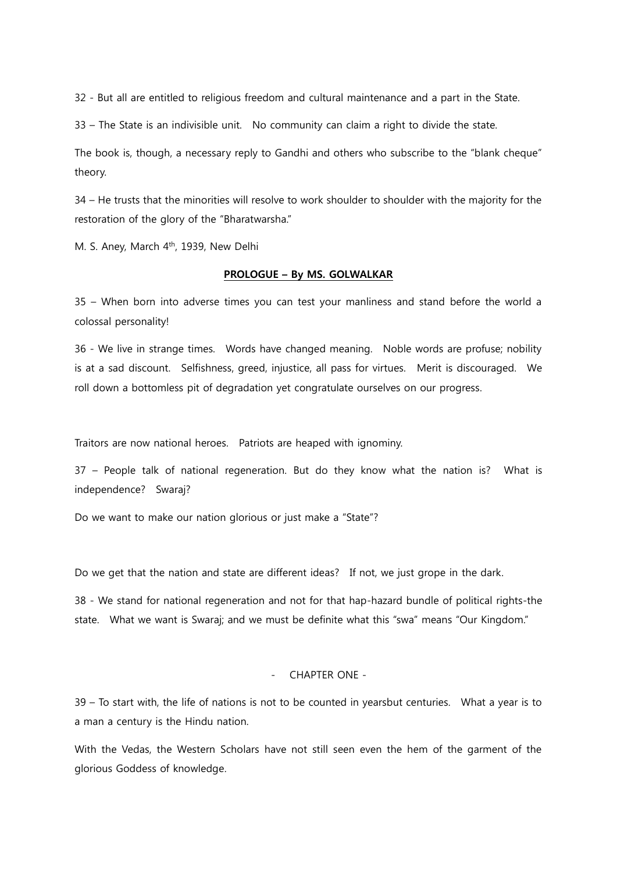32 - But all are entitled to religious freedom and cultural maintenance and a part in the State.

33 – The State is an indivisible unit. No community can claim a right to divide the state.

The book is, though, a necessary reply to Gandhi and others who subscribe to the "blank cheque" theory.

34 – He trusts that the minorities will resolve to work shoulder to shoulder with the majority for the restoration of the glory of the "Bharatwarsha."

M. S. Aney, March 4<sup>th</sup>, 1939, New Delhi

## PROLOGUE – By MS. GOLWALKAR

35 – When born into adverse times you can test your manliness and stand before the world a colossal personality!

36 - We live in strange times. Words have changed meaning. Noble words are profuse; nobility is at a sad discount. Selfishness, greed, injustice, all pass for virtues. Merit is discouraged. We roll down a bottomless pit of degradation yet congratulate ourselves on our progress.

Traitors are now national heroes. Patriots are heaped with ignominy.

37 – People talk of national regeneration. But do they know what the nation is? What is independence? Swaraj?

Do we want to make our nation glorious or just make a "State"?

Do we get that the nation and state are different ideas? If not, we just grope in the dark.

38 - We stand for national regeneration and not for that hap-hazard bundle of political rights-the state. What we want is Swaraj; and we must be definite what this "swa" means "Our Kingdom."

## - CHAPTER ONE -

39 – To start with, the life of nations is not to be counted in yearsbut centuries. What a year is to a man a century is the Hindu nation.

With the Vedas, the Western Scholars have not still seen even the hem of the garment of the glorious Goddess of knowledge.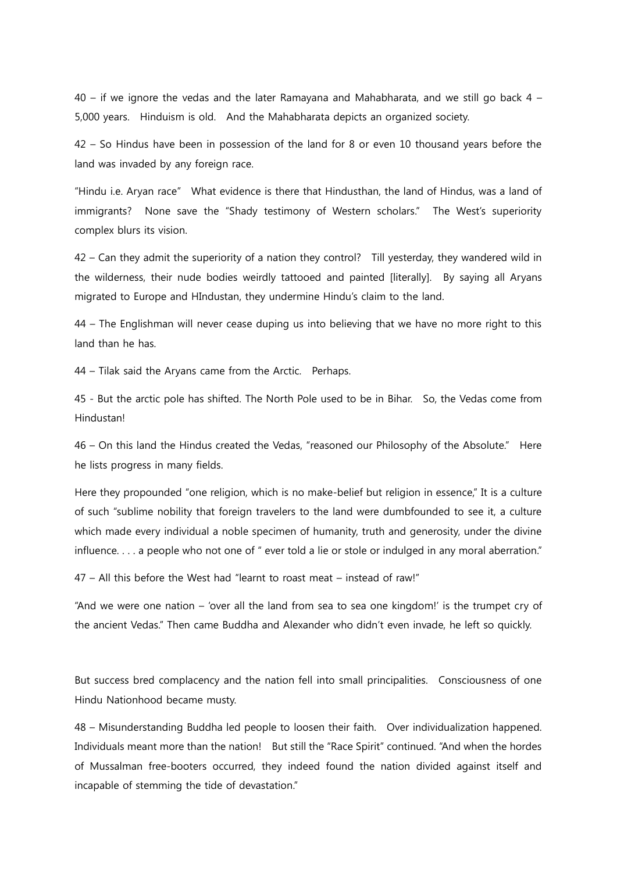40 – if we ignore the vedas and the later Ramayana and Mahabharata, and we still go back 4 – 5,000 years. Hinduism is old. And the Mahabharata depicts an organized society.

42 – So Hindus have been in possession of the land for 8 or even 10 thousand years before the land was invaded by any foreign race.

"Hindu i.e. Aryan race" What evidence is there that Hindusthan, the land of Hindus, was a land of immigrants? None save the "Shady testimony of Western scholars." The West's superiority complex blurs its vision.

42 – Can they admit the superiority of a nation they control? Till yesterday, they wandered wild in the wilderness, their nude bodies weirdly tattooed and painted [literally]. By saying all Aryans migrated to Europe and HIndustan, they undermine Hindu's claim to the land.

44 – The Englishman will never cease duping us into believing that we have no more right to this land than he has.

44 – Tilak said the Aryans came from the Arctic. Perhaps.

45 - But the arctic pole has shifted. The North Pole used to be in Bihar. So, the Vedas come from **Hindustan!** 

46 – On this land the Hindus created the Vedas, "reasoned our Philosophy of the Absolute." Here he lists progress in many fields.

Here they propounded "one religion, which is no make-belief but religion in essence," It is a culture of such "sublime nobility that foreign travelers to the land were dumbfounded to see it, a culture which made every individual a noble specimen of humanity, truth and generosity, under the divine influence. . . . a people who not one of " ever told a lie or stole or indulged in any moral aberration."

47 – All this before the West had "learnt to roast meat – instead of raw!"

"And we were one nation – 'over all the land from sea to sea one kingdom!' is the trumpet cry of the ancient Vedas." Then came Buddha and Alexander who didn't even invade, he left so quickly.

But success bred complacency and the nation fell into small principalities. Consciousness of one Hindu Nationhood became musty.

48 – Misunderstanding Buddha led people to loosen their faith. Over individualization happened. Individuals meant more than the nation! But still the "Race Spirit" continued. "And when the hordes of Mussalman free-booters occurred, they indeed found the nation divided against itself and incapable of stemming the tide of devastation."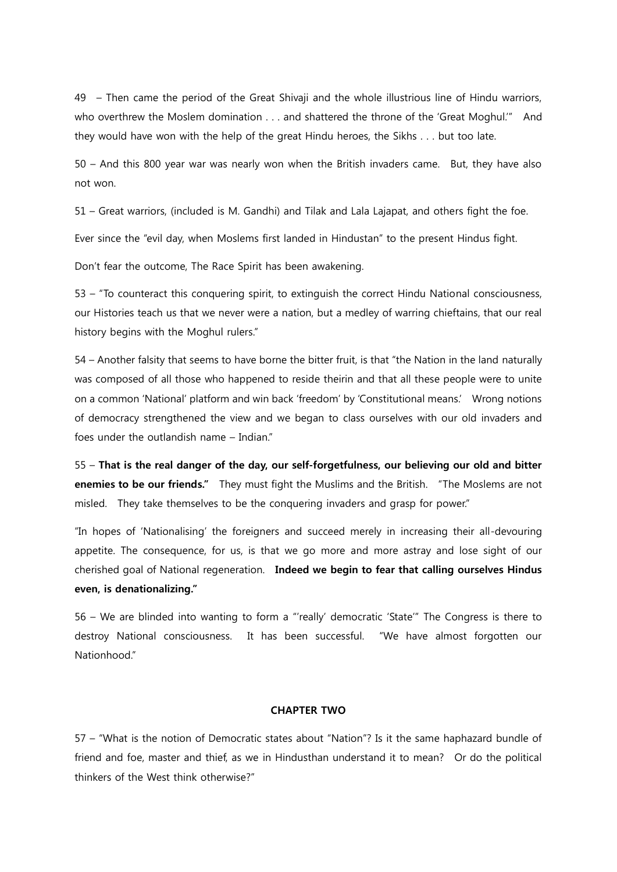49 – Then came the period of the Great Shivaji and the whole illustrious line of Hindu warriors, who overthrew the Moslem domination . . . and shattered the throne of the 'Great Moghul.'" And they would have won with the help of the great Hindu heroes, the Sikhs . . . but too late.

50 – And this 800 year war was nearly won when the British invaders came. But, they have also not won.

51 – Great warriors, (included is M. Gandhi) and Tilak and Lala Lajapat, and others fight the foe.

Ever since the "evil day, when Moslems first landed in Hindustan" to the present Hindus fight.

Don't fear the outcome, The Race Spirit has been awakening.

53 – "To counteract this conquering spirit, to extinguish the correct Hindu National consciousness, our Histories teach us that we never were a nation, but a medley of warring chieftains, that our real history begins with the Moghul rulers."

54 – Another falsity that seems to have borne the bitter fruit, is that "the Nation in the land naturally was composed of all those who happened to reside theirin and that all these people were to unite on a common 'National' platform and win back 'freedom' by 'Constitutional means.' Wrong notions of democracy strengthened the view and we began to class ourselves with our old invaders and foes under the outlandish name – Indian."

55 – That is the real danger of the day, our self-forgetfulness, our believing our old and bitter enemies to be our friends." They must fight the Muslims and the British. "The Moslems are not misled. They take themselves to be the conquering invaders and grasp for power."

"In hopes of 'Nationalising' the foreigners and succeed merely in increasing their all-devouring appetite. The consequence, for us, is that we go more and more astray and lose sight of our cherished goal of National regeneration. Indeed we begin to fear that calling ourselves Hindus even, is denationalizing."

56 – We are blinded into wanting to form a "'really' democratic 'State'" The Congress is there to destroy National consciousness. It has been successful. "We have almost forgotten our Nationhood"

### CHAPTER TWO

57 – "What is the notion of Democratic states about "Nation"? Is it the same haphazard bundle of friend and foe, master and thief, as we in Hindusthan understand it to mean? Or do the political thinkers of the West think otherwise?"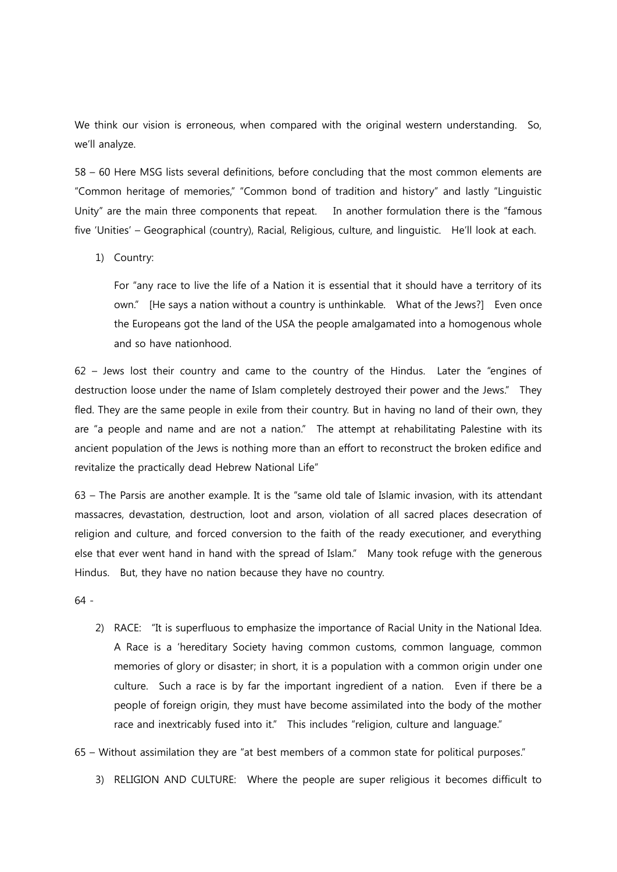We think our vision is erroneous, when compared with the original western understanding. So, we'll analyze.

58 – 60 Here MSG lists several definitions, before concluding that the most common elements are "Common heritage of memories," "Common bond of tradition and history" and lastly "Linguistic Unity" are the main three components that repeat. In another formulation there is the "famous five 'Unities' – Geographical (country), Racial, Religious, culture, and linguistic. He'll look at each.

1) Country:

For "any race to live the life of a Nation it is essential that it should have a territory of its own." [He says a nation without a country is unthinkable. What of the Jews?] Even once the Europeans got the land of the USA the people amalgamated into a homogenous whole and so have nationhood.

62 – Jews lost their country and came to the country of the Hindus. Later the "engines of destruction loose under the name of Islam completely destroyed their power and the Jews." They fled. They are the same people in exile from their country. But in having no land of their own, they are "a people and name and are not a nation." The attempt at rehabilitating Palestine with its ancient population of the Jews is nothing more than an effort to reconstruct the broken edifice and revitalize the practically dead Hebrew National Life"

63 – The Parsis are another example. It is the "same old tale of Islamic invasion, with its attendant massacres, devastation, destruction, loot and arson, violation of all sacred places desecration of religion and culture, and forced conversion to the faith of the ready executioner, and everything else that ever went hand in hand with the spread of Islam." Many took refuge with the generous Hindus. But, they have no nation because they have no country.

64 -

- 2) RACE: "It is superfluous to emphasize the importance of Racial Unity in the National Idea. A Race is a 'hereditary Society having common customs, common language, common memories of glory or disaster; in short, it is a population with a common origin under one culture. Such a race is by far the important ingredient of a nation. Even if there be a people of foreign origin, they must have become assimilated into the body of the mother race and inextricably fused into it." This includes "religion, culture and language."
- 65 Without assimilation they are "at best members of a common state for political purposes."
	- 3) RELIGION AND CULTURE: Where the people are super religious it becomes difficult to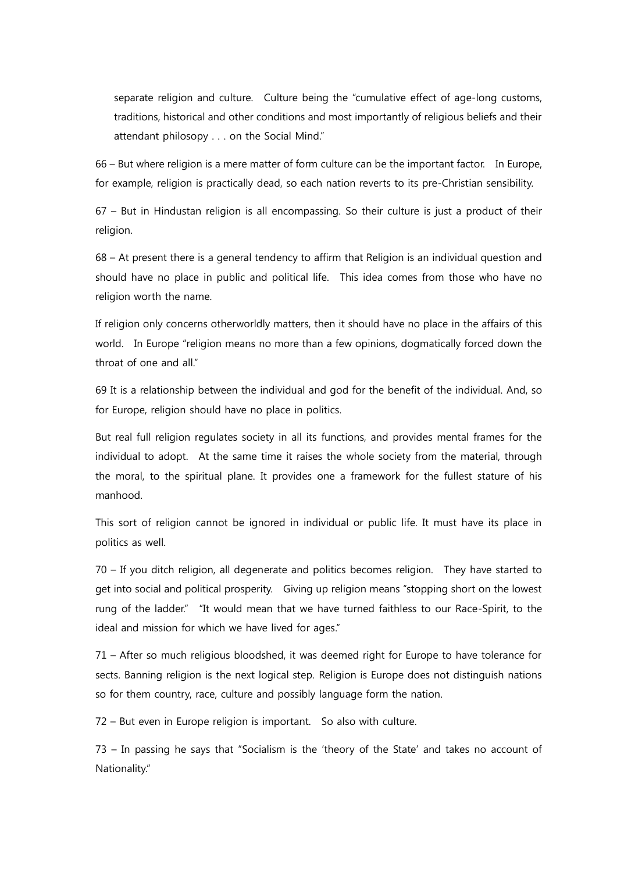separate religion and culture. Culture being the "cumulative effect of age-long customs, traditions, historical and other conditions and most importantly of religious beliefs and their attendant philosopy . . . on the Social Mind."

66 – But where religion is a mere matter of form culture can be the important factor. In Europe, for example, religion is practically dead, so each nation reverts to its pre-Christian sensibility.

67 – But in Hindustan religion is all encompassing. So their culture is just a product of their religion.

68 – At present there is a general tendency to affirm that Religion is an individual question and should have no place in public and political life. This idea comes from those who have no religion worth the name.

If religion only concerns otherworldly matters, then it should have no place in the affairs of this world. In Europe "religion means no more than a few opinions, dogmatically forced down the throat of one and all."

69 It is a relationship between the individual and god for the benefit of the individual. And, so for Europe, religion should have no place in politics.

But real full religion regulates society in all its functions, and provides mental frames for the individual to adopt. At the same time it raises the whole society from the material, through the moral, to the spiritual plane. It provides one a framework for the fullest stature of his manhood.

This sort of religion cannot be ignored in individual or public life. It must have its place in politics as well.

70 – If you ditch religion, all degenerate and politics becomes religion. They have started to get into social and political prosperity. Giving up religion means "stopping short on the lowest rung of the ladder." "It would mean that we have turned faithless to our Race-Spirit, to the ideal and mission for which we have lived for ages."

71 – After so much religious bloodshed, it was deemed right for Europe to have tolerance for sects. Banning religion is the next logical step. Religion is Europe does not distinguish nations so for them country, race, culture and possibly language form the nation.

72 – But even in Europe religion is important. So also with culture.

73 – In passing he says that "Socialism is the 'theory of the State' and takes no account of Nationality."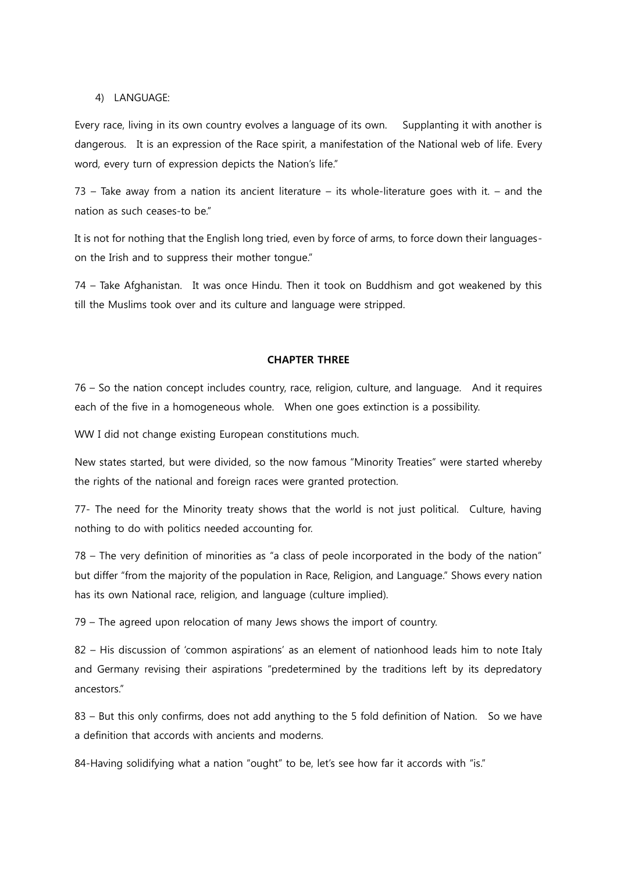### 4) LANGUAGE:

Every race, living in its own country evolves a language of its own. Supplanting it with another is dangerous. It is an expression of the Race spirit, a manifestation of the National web of life. Every word, every turn of expression depicts the Nation's life."

73 – Take away from a nation its ancient literature – its whole-literature goes with it. – and the nation as such ceases-to be."

It is not for nothing that the English long tried, even by force of arms, to force down their languageson the Irish and to suppress their mother tongue."

74 – Take Afghanistan. It was once Hindu. Then it took on Buddhism and got weakened by this till the Muslims took over and its culture and language were stripped.

### CHAPTER THREE

76 – So the nation concept includes country, race, religion, culture, and language. And it requires each of the five in a homogeneous whole. When one goes extinction is a possibility.

WW I did not change existing European constitutions much.

New states started, but were divided, so the now famous "Minority Treaties" were started whereby the rights of the national and foreign races were granted protection.

77- The need for the Minority treaty shows that the world is not just political. Culture, having nothing to do with politics needed accounting for.

78 – The very definition of minorities as "a class of peole incorporated in the body of the nation" but differ "from the majority of the population in Race, Religion, and Language." Shows every nation has its own National race, religion, and language (culture implied).

79 – The agreed upon relocation of many Jews shows the import of country.

82 – His discussion of 'common aspirations' as an element of nationhood leads him to note Italy and Germany revising their aspirations "predetermined by the traditions left by its depredatory ancestors."

83 – But this only confirms, does not add anything to the 5 fold definition of Nation. So we have a definition that accords with ancients and moderns.

84-Having solidifying what a nation "ought" to be, let's see how far it accords with "is."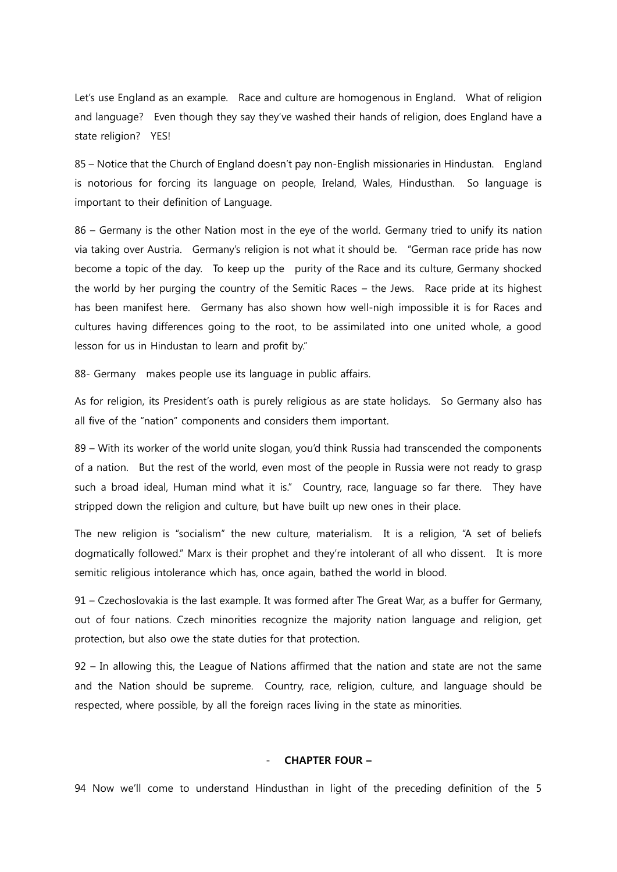Let's use England as an example. Race and culture are homogenous in England. What of religion and language? Even though they say they've washed their hands of religion, does England have a state religion? YES!

85 – Notice that the Church of England doesn't pay non-English missionaries in Hindustan. England is notorious for forcing its language on people, Ireland, Wales, Hindusthan. So language is important to their definition of Language.

86 – Germany is the other Nation most in the eye of the world. Germany tried to unify its nation via taking over Austria. Germany's religion is not what it should be. "German race pride has now become a topic of the day. To keep up the purity of the Race and its culture, Germany shocked the world by her purging the country of the Semitic Races – the Jews. Race pride at its highest has been manifest here. Germany has also shown how well-nigh impossible it is for Races and cultures having differences going to the root, to be assimilated into one united whole, a good lesson for us in Hindustan to learn and profit by."

88- Germany makes people use its language in public affairs.

As for religion, its President's oath is purely religious as are state holidays. So Germany also has all five of the "nation" components and considers them important.

89 – With its worker of the world unite slogan, you'd think Russia had transcended the components of a nation. But the rest of the world, even most of the people in Russia were not ready to grasp such a broad ideal, Human mind what it is." Country, race, language so far there. They have stripped down the religion and culture, but have built up new ones in their place.

The new religion is "socialism" the new culture, materialism. It is a religion, "A set of beliefs dogmatically followed." Marx is their prophet and they're intolerant of all who dissent. It is more semitic religious intolerance which has, once again, bathed the world in blood.

91 – Czechoslovakia is the last example. It was formed after The Great War, as a buffer for Germany, out of four nations. Czech minorities recognize the majority nation language and religion, get protection, but also owe the state duties for that protection.

92 – In allowing this, the League of Nations affirmed that the nation and state are not the same and the Nation should be supreme. Country, race, religion, culture, and language should be respected, where possible, by all the foreign races living in the state as minorities.

#### - CHAPTER FOUR –

94 Now we'll come to understand Hindusthan in light of the preceding definition of the 5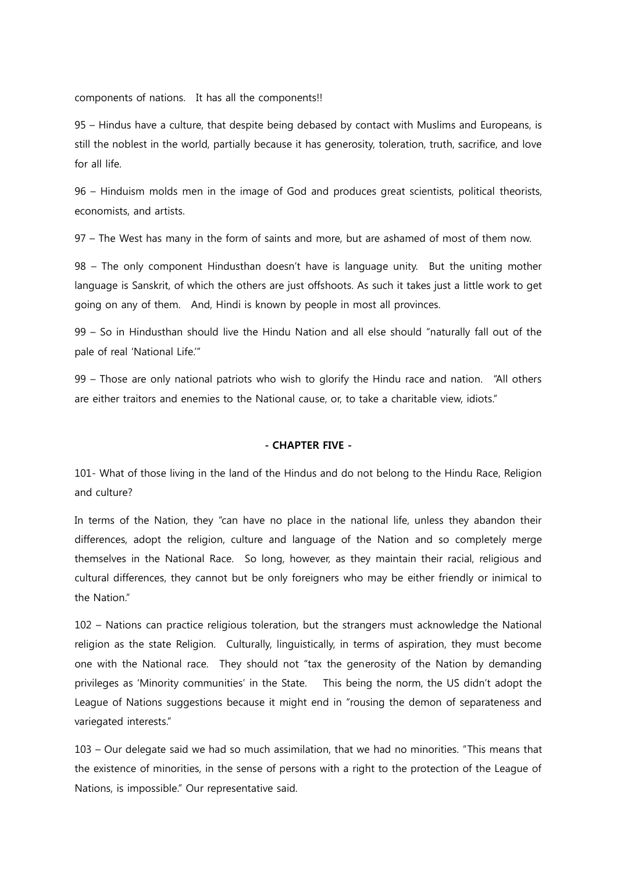components of nations. It has all the components!!

95 – Hindus have a culture, that despite being debased by contact with Muslims and Europeans, is still the noblest in the world, partially because it has generosity, toleration, truth, sacrifice, and love for all life.

96 – Hinduism molds men in the image of God and produces great scientists, political theorists, economists, and artists.

97 – The West has many in the form of saints and more, but are ashamed of most of them now.

98 – The only component Hindusthan doesn't have is language unity. But the uniting mother language is Sanskrit, of which the others are just offshoots. As such it takes just a little work to get going on any of them. And, Hindi is known by people in most all provinces.

99 – So in Hindusthan should live the Hindu Nation and all else should "naturally fall out of the pale of real 'National Life.'"

99 – Those are only national patriots who wish to glorify the Hindu race and nation. "All others are either traitors and enemies to the National cause, or, to take a charitable view, idiots."

### - CHAPTER FIVE -

101- What of those living in the land of the Hindus and do not belong to the Hindu Race, Religion and culture?

In terms of the Nation, they "can have no place in the national life, unless they abandon their differences, adopt the religion, culture and language of the Nation and so completely merge themselves in the National Race. So long, however, as they maintain their racial, religious and cultural differences, they cannot but be only foreigners who may be either friendly or inimical to the Nation"

102 – Nations can practice religious toleration, but the strangers must acknowledge the National religion as the state Religion. Culturally, linguistically, in terms of aspiration, they must become one with the National race. They should not "tax the generosity of the Nation by demanding privileges as 'Minority communities' in the State. This being the norm, the US didn't adopt the League of Nations suggestions because it might end in "rousing the demon of separateness and variegated interests."

103 – Our delegate said we had so much assimilation, that we had no minorities. "This means that the existence of minorities, in the sense of persons with a right to the protection of the League of Nations, is impossible." Our representative said.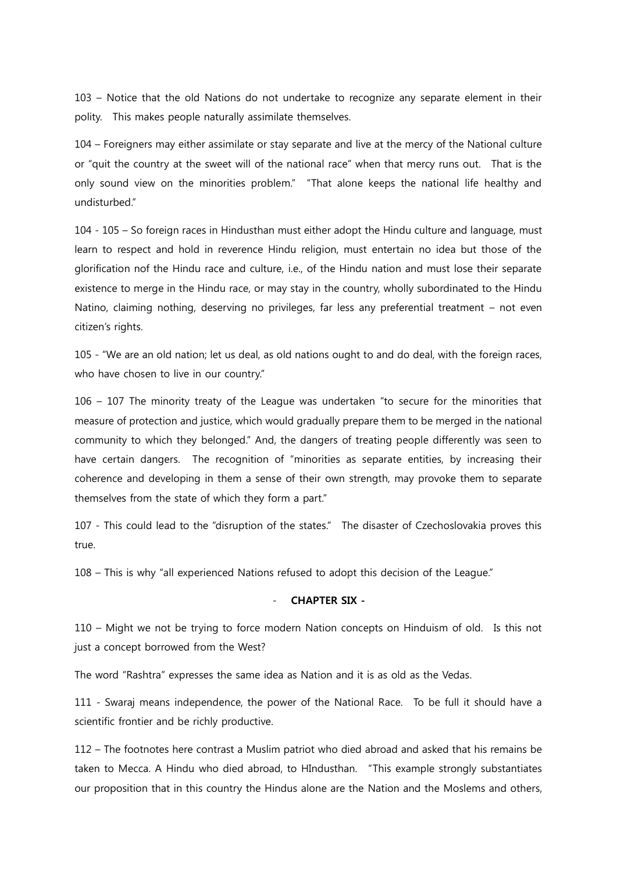103 – Notice that the old Nations do not undertake to recognize any separate element in their polity. This makes people naturally assimilate themselves.

104 – Foreigners may either assimilate or stay separate and live at the mercy of the National culture or "quit the country at the sweet will of the national race" when that mercy runs out. That is the only sound view on the minorities problem." "That alone keeps the national life healthy and undisturbed."

104 - 105 – So foreign races in Hindusthan must either adopt the Hindu culture and language, must learn to respect and hold in reverence Hindu religion, must entertain no idea but those of the glorification nof the Hindu race and culture, i.e., of the Hindu nation and must lose their separate existence to merge in the Hindu race, or may stay in the country, wholly subordinated to the Hindu Natino, claiming nothing, deserving no privileges, far less any preferential treatment – not even citizen's rights.

105 - "We are an old nation; let us deal, as old nations ought to and do deal, with the foreign races, who have chosen to live in our country."

106 – 107 The minority treaty of the League was undertaken "to secure for the minorities that measure of protection and justice, which would gradually prepare them to be merged in the national community to which they belonged." And, the dangers of treating people differently was seen to have certain dangers. The recognition of "minorities as separate entities, by increasing their coherence and developing in them a sense of their own strength, may provoke them to separate themselves from the state of which they form a part."

107 - This could lead to the "disruption of the states." The disaster of Czechoslovakia proves this true.

108 – This is why "all experienced Nations refused to adopt this decision of the League."

## - CHAPTER SIX -

110 – Might we not be trying to force modern Nation concepts on Hinduism of old. Is this not just a concept borrowed from the West?

The word "Rashtra" expresses the same idea as Nation and it is as old as the Vedas.

111 - Swaraj means independence, the power of the National Race. To be full it should have a scientific frontier and be richly productive.

112 – The footnotes here contrast a Muslim patriot who died abroad and asked that his remains be taken to Mecca. A Hindu who died abroad, to HIndusthan. "This example strongly substantiates our proposition that in this country the Hindus alone are the Nation and the Moslems and others,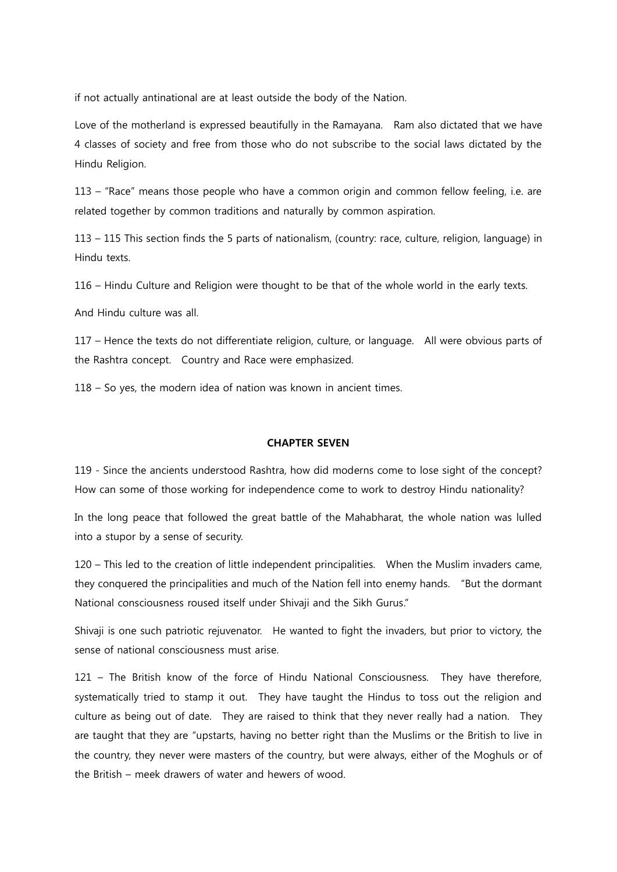if not actually antinational are at least outside the body of the Nation.

Love of the motherland is expressed beautifully in the Ramayana. Ram also dictated that we have 4 classes of society and free from those who do not subscribe to the social laws dictated by the Hindu Religion.

113 – "Race" means those people who have a common origin and common fellow feeling, i.e. are related together by common traditions and naturally by common aspiration.

113 – 115 This section finds the 5 parts of nationalism, (country: race, culture, religion, language) in Hindu texts.

116 – Hindu Culture and Religion were thought to be that of the whole world in the early texts.

And Hindu culture was all.

117 – Hence the texts do not differentiate religion, culture, or language. All were obvious parts of the Rashtra concept. Country and Race were emphasized.

118 – So yes, the modern idea of nation was known in ancient times.

### CHAPTER SEVEN

119 - Since the ancients understood Rashtra, how did moderns come to lose sight of the concept? How can some of those working for independence come to work to destroy Hindu nationality?

In the long peace that followed the great battle of the Mahabharat, the whole nation was lulled into a stupor by a sense of security.

120 – This led to the creation of little independent principalities. When the Muslim invaders came, they conquered the principalities and much of the Nation fell into enemy hands. "But the dormant National consciousness roused itself under Shivaji and the Sikh Gurus."

Shivaji is one such patriotic rejuvenator. He wanted to fight the invaders, but prior to victory, the sense of national consciousness must arise.

121 – The British know of the force of Hindu National Consciousness. They have therefore, systematically tried to stamp it out. They have taught the Hindus to toss out the religion and culture as being out of date. They are raised to think that they never really had a nation. They are taught that they are "upstarts, having no better right than the Muslims or the British to live in the country, they never were masters of the country, but were always, either of the Moghuls or of the British – meek drawers of water and hewers of wood.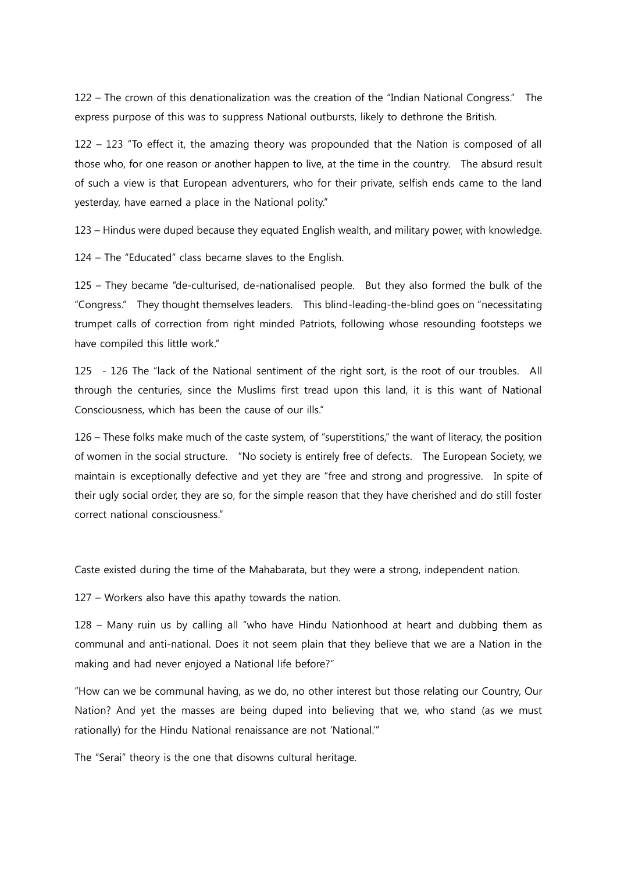122 – The crown of this denationalization was the creation of the "Indian National Congress." The express purpose of this was to suppress National outbursts, likely to dethrone the British.

122 – 123 "To effect it, the amazing theory was propounded that the Nation is composed of all those who, for one reason or another happen to live, at the time in the country. The absurd result of such a view is that European adventurers, who for their private, selfish ends came to the land yesterday, have earned a place in the National polity."

123 – Hindus were duped because they equated English wealth, and military power, with knowledge.

124 – The "Educated" class became slaves to the English.

125 – They became "de-culturised, de-nationalised people. But they also formed the bulk of the "Congress." They thought themselves leaders. This blind-leading-the-blind goes on "necessitating trumpet calls of correction from right minded Patriots, following whose resounding footsteps we have compiled this little work."

125 - 126 The "lack of the National sentiment of the right sort, is the root of our troubles. All through the centuries, since the Muslims first tread upon this land, it is this want of National Consciousness, which has been the cause of our ills."

126 – These folks make much of the caste system, of "superstitions," the want of literacy, the position of women in the social structure. "No society is entirely free of defects. The European Society, we maintain is exceptionally defective and yet they are "free and strong and progressive. In spite of their ugly social order, they are so, for the simple reason that they have cherished and do still foster correct national consciousness."

Caste existed during the time of the Mahabarata, but they were a strong, independent nation.

127 – Workers also have this apathy towards the nation.

128 – Many ruin us by calling all "who have Hindu Nationhood at heart and dubbing them as communal and anti-national. Does it not seem plain that they believe that we are a Nation in the making and had never enjoyed a National life before?"

"How can we be communal having, as we do, no other interest but those relating our Country, Our Nation? And yet the masses are being duped into believing that we, who stand (as we must rationally) for the Hindu National renaissance are not 'National.'"

The "Serai" theory is the one that disowns cultural heritage.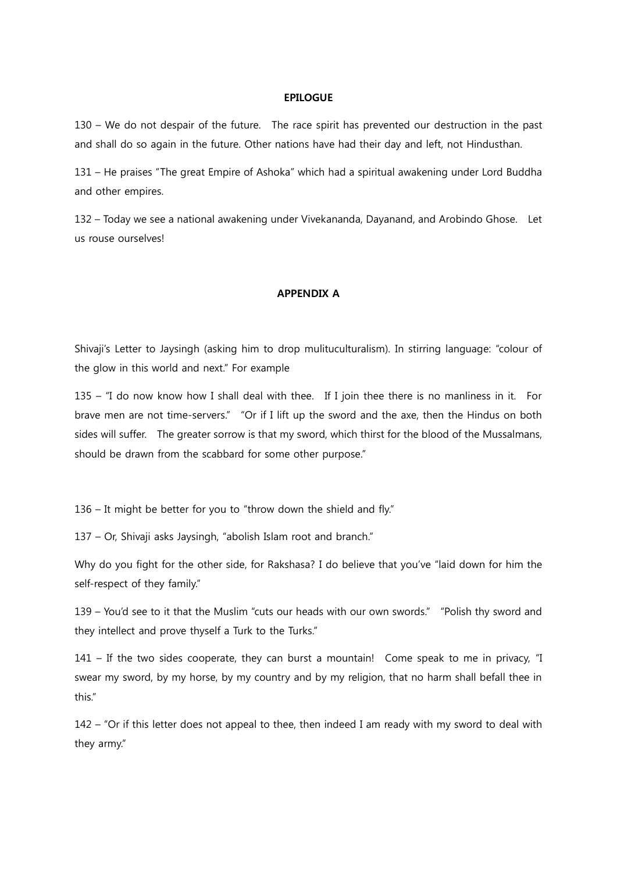### EPILOGUE

130 – We do not despair of the future. The race spirit has prevented our destruction in the past and shall do so again in the future. Other nations have had their day and left, not Hindusthan.

131 – He praises "The great Empire of Ashoka" which had a spiritual awakening under Lord Buddha and other empires.

132 – Today we see a national awakening under Vivekananda, Dayanand, and Arobindo Ghose. Let us rouse ourselves!

### APPENDIX A

Shivaji's Letter to Jaysingh (asking him to drop mulituculturalism). In stirring language: "colour of the glow in this world and next." For example

135 – "I do now know how I shall deal with thee. If I join thee there is no manliness in it. For brave men are not time-servers." "Or if I lift up the sword and the axe, then the Hindus on both sides will suffer. The greater sorrow is that my sword, which thirst for the blood of the Mussalmans, should be drawn from the scabbard for some other purpose."

136 – It might be better for you to "throw down the shield and fly."

137 – Or, Shivaji asks Jaysingh, "abolish Islam root and branch."

Why do you fight for the other side, for Rakshasa? I do believe that you've "laid down for him the self-respect of they family."

139 – You'd see to it that the Muslim "cuts our heads with our own swords." "Polish thy sword and they intellect and prove thyself a Turk to the Turks."

141 – If the two sides cooperate, they can burst a mountain! Come speak to me in privacy, "I swear my sword, by my horse, by my country and by my religion, that no harm shall befall thee in this."

142 – "Or if this letter does not appeal to thee, then indeed I am ready with my sword to deal with they army."